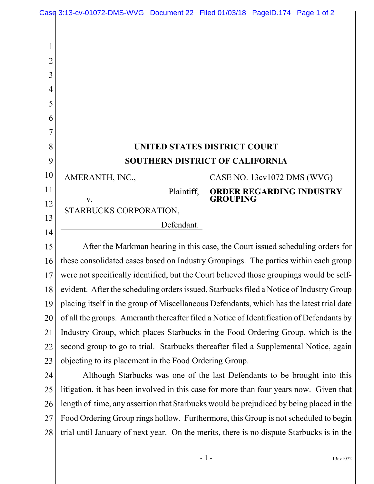| $\overline{2}$ |                                                                                |                             |
|----------------|--------------------------------------------------------------------------------|-----------------------------|
| 3              |                                                                                |                             |
| 4              |                                                                                |                             |
| 5              |                                                                                |                             |
| 6              |                                                                                |                             |
|                |                                                                                |                             |
| 8              | <b>UNITED STATES DISTRICT COURT</b>                                            |                             |
| 9              | <b>SOUTHERN DISTRICT OF CALIFORNIA</b>                                         |                             |
| 10             | AMERANTH, INC.,                                                                | CASE NO. 13cv1072 DMS (WVG) |
| 11             | Plaintiff,                                                                     | ORDER REGARDING INDUSTRY    |
| 12             | V.                                                                             | <b>GROUPING</b>             |
| 13             | STARBUCKS CORPORATION,                                                         |                             |
| 14             | Defendant.                                                                     |                             |
| 15             | After the Markman hearing in this case, the Court issued scheduling orders for |                             |

16 17 18 19 20 21 22 23 these consolidated cases based on Industry Groupings. The parties within each group were not specifically identified, but the Court believed those groupings would be selfevident. After the scheduling orders issued, Starbucks filed a Notice of Industry Group placing itself in the group of Miscellaneous Defendants, which has the latest trial date of all the groups. Ameranth thereafter filed a Notice of Identification of Defendants by Industry Group, which places Starbucks in the Food Ordering Group, which is the second group to go to trial. Starbucks thereafter filed a Supplemental Notice, again objecting to its placement in the Food Ordering Group.

24 25 26 27 28 Although Starbucks was one of the last Defendants to be brought into this litigation, it has been involved in this case for more than four years now. Given that length of time, any assertion that Starbucks would be prejudiced by being placed in the Food Ordering Group rings hollow. Furthermore, this Group is not scheduled to begin trial until January of next year. On the merits, there is no dispute Starbucks is in the